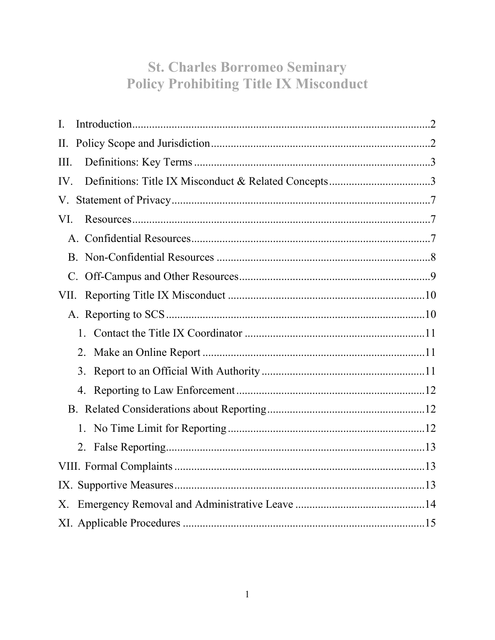# **St. Charles Borromeo Seminary Policy Prohibiting Title IX Misconduct**

| I.                                                          |
|-------------------------------------------------------------|
| П.                                                          |
| III.                                                        |
| Definitions: Title IX Misconduct & Related Concepts3<br>IV. |
| V.                                                          |
| VI.                                                         |
|                                                             |
|                                                             |
|                                                             |
| VII.                                                        |
|                                                             |
| 1.                                                          |
| 2.                                                          |
| 3.                                                          |
|                                                             |
|                                                             |
|                                                             |
| 2.                                                          |
|                                                             |
|                                                             |
| Χ.                                                          |
|                                                             |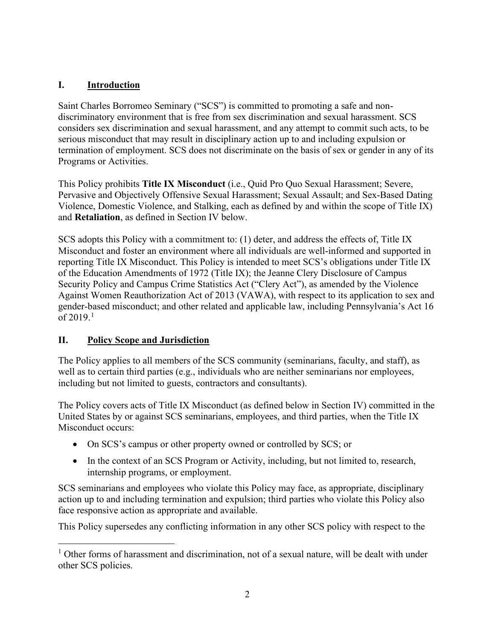# <span id="page-1-0"></span>**I. Introduction**

Saint Charles Borromeo Seminary ("SCS") is committed to promoting a safe and nondiscriminatory environment that is free from sex discrimination and sexual harassment. SCS considers sex discrimination and sexual harassment, and any attempt to commit such acts, to be serious misconduct that may result in disciplinary action up to and including expulsion or termination of employment. SCS does not discriminate on the basis of sex or gender in any of its Programs or Activities.

This Policy prohibits **Title IX Misconduct** (i.e., Quid Pro Quo Sexual Harassment; Severe, Pervasive and Objectively Offensive Sexual Harassment; Sexual Assault; and Sex-Based Dating Violence, Domestic Violence, and Stalking, each as defined by and within the scope of Title IX) and **Retaliation**, as defined in Section IV below.

SCS adopts this Policy with a commitment to: (1) deter, and address the effects of, Title IX Misconduct and foster an environment where all individuals are well-informed and supported in reporting Title IX Misconduct. This Policy is intended to meet SCS's obligations under Title IX of the Education Amendments of 1972 (Title IX); the Jeanne Clery Disclosure of Campus Security Policy and Campus Crime Statistics Act ("Clery Act"), as amended by the Violence Against Women Reauthorization Act of 2013 (VAWA), with respect to its application to sex and gender-based misconduct; and other related and applicable law, including Pennsylvania's Act 16 of  $2019.1$  $2019.1$  $2019.1$ 

# <span id="page-1-1"></span>**II. Policy Scope and Jurisdiction**

The Policy applies to all members of the SCS community (seminarians, faculty, and staff), as well as to certain third parties (e.g., individuals who are neither seminarians nor employees, including but not limited to guests, contractors and consultants).

The Policy covers acts of Title IX Misconduct (as defined below in Section IV) committed in the United States by or against SCS seminarians, employees, and third parties, when the Title IX Misconduct occurs:

- On SCS's campus or other property owned or controlled by SCS; or
- In the context of an SCS Program or Activity, including, but not limited to, research, internship programs, or employment.

SCS seminarians and employees who violate this Policy may face, as appropriate, disciplinary action up to and including termination and expulsion; third parties who violate this Policy also face responsive action as appropriate and available.

This Policy supersedes any conflicting information in any other SCS policy with respect to the

<span id="page-1-2"></span><sup>&</sup>lt;sup>1</sup> Other forms of harassment and discrimination, not of a sexual nature, will be dealt with under other SCS policies.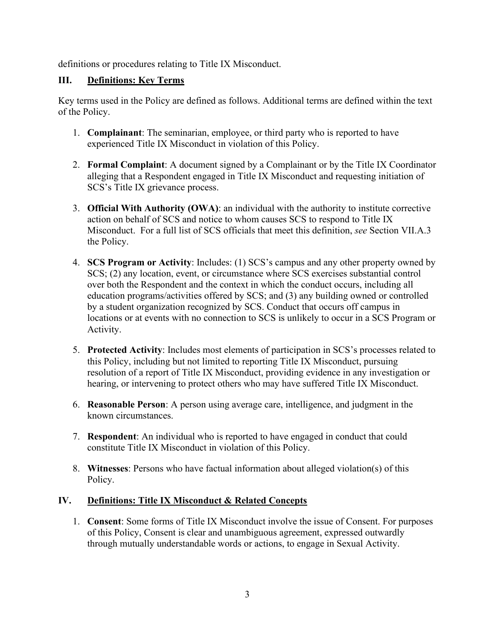definitions or procedures relating to Title IX Misconduct.

#### <span id="page-2-0"></span>**III. Definitions: Key Terms**

Key terms used in the Policy are defined as follows. Additional terms are defined within the text of the Policy.

- 1. **Complainant**: The seminarian, employee, or third party who is reported to have experienced Title IX Misconduct in violation of this Policy.
- 2. **Formal Complaint**: A document signed by a Complainant or by the Title IX Coordinator alleging that a Respondent engaged in Title IX Misconduct and requesting initiation of SCS's Title IX grievance process.
- 3. **Official With Authority (OWA)**: an individual with the authority to institute corrective action on behalf of SCS and notice to whom causes SCS to respond to Title IX Misconduct. For a full list of SCS officials that meet this definition, *see* Section VII.A.3 the Policy.
- 4. **SCS Program or Activity**: Includes: (1) SCS's campus and any other property owned by SCS; (2) any location, event, or circumstance where SCS exercises substantial control over both the Respondent and the context in which the conduct occurs, including all education programs/activities offered by SCS; and (3) any building owned or controlled by a student organization recognized by SCS. Conduct that occurs off campus in locations or at events with no connection to SCS is unlikely to occur in a SCS Program or Activity.
- 5. **Protected Activity**: Includes most elements of participation in SCS's processes related to this Policy, including but not limited to reporting Title IX Misconduct, pursuing resolution of a report of Title IX Misconduct, providing evidence in any investigation or hearing, or intervening to protect others who may have suffered Title IX Misconduct.
- 6. **Reasonable Person**: A person using average care, intelligence, and judgment in the known circumstances.
- 7. **Respondent**: An individual who is reported to have engaged in conduct that could constitute Title IX Misconduct in violation of this Policy.
- 8. **Witnesses**: Persons who have factual information about alleged violation(s) of this Policy.

#### <span id="page-2-1"></span>**IV. Definitions: Title IX Misconduct & Related Concepts**

1. **Consent**: Some forms of Title IX Misconduct involve the issue of Consent. For purposes of this Policy, Consent is clear and unambiguous agreement, expressed outwardly through mutually understandable words or actions, to engage in Sexual Activity.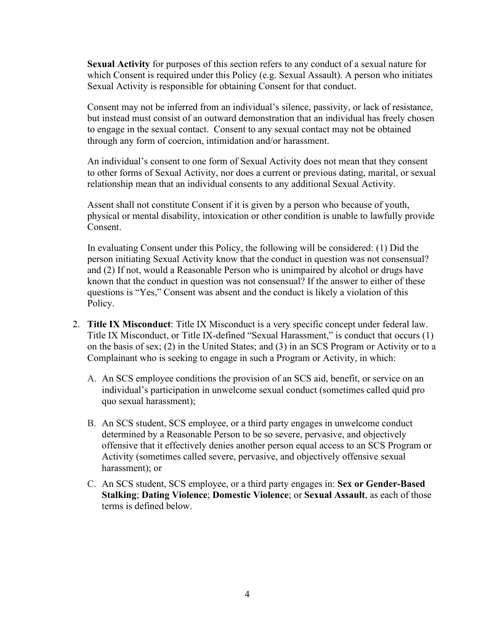**Sexual Activity** for purposes of this section refers to any conduct of a sexual nature for which Consent is required under this Policy (e.g. Sexual Assault). A person who initiates Sexual Activity is responsible for obtaining Consent for that conduct.

Consent may not be inferred from an individual's silence, passivity, or lack of resistance, but instead must consist of an outward demonstration that an individual has freely chosen to engage in the sexual contact. Consent to any sexual contact may not be obtained through any form of coercion, intimidation and/or harassment.

An individual's consent to one form of Sexual Activity does not mean that they consent to other forms of Sexual Activity, nor does a current or previous dating, marital, or sexual relationship mean that an individual consents to any additional Sexual Activity.

Assent shall not constitute Consent if it is given by a person who because of youth, physical or mental disability, intoxication or other condition is unable to lawfully provide Consent.

In evaluating Consent under this Policy, the following will be considered: (1) Did the person initiating Sexual Activity know that the conduct in question was not consensual? and (2) If not, would a Reasonable Person who is unimpaired by alcohol or drugs have known that the conduct in question was not consensual? If the answer to either of these questions is "Yes," Consent was absent and the conduct is likely a violation of this Policy.

- 2. **Title IX Misconduct**: Title IX Misconduct is a very specific concept under federal law. Title IX Misconduct, or Title IX-defined "Sexual Harassment," is conduct that occurs (1) on the basis of sex; (2) in the United States; and (3) in an SCS Program or Activity or to a Complainant who is seeking to engage in such a Program or Activity, in which:
	- A. An SCS employee conditions the provision of an SCS aid, benefit, or service on an individual's participation in unwelcome sexual conduct (sometimes called quid pro quo sexual harassment);
	- B. An SCS student, SCS employee, or a third party engages in unwelcome conduct determined by a Reasonable Person to be so severe, pervasive, and objectively offensive that it effectively denies another person equal access to an SCS Program or Activity (sometimes called severe, pervasive, and objectively offensive sexual harassment); or
	- C. An SCS student, SCS employee, or a third party engages in: **Sex or Gender-Based Stalking**; **Dating Violence**; **Domestic Violence**; or **Sexual Assault**, as each of those terms is defined below.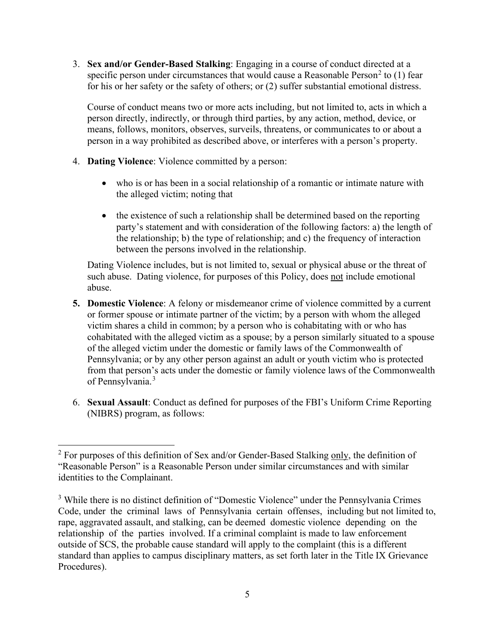3. **Sex and/or Gender-Based Stalking**: Engaging in a course of conduct directed at a specific person under circumstances that would cause a Reasonable Person<sup>[2](#page-4-0)</sup> to (1) fear for his or her safety or the safety of others; or (2) suffer substantial emotional distress.

Course of conduct means two or more acts including, but not limited to, acts in which a person directly, indirectly, or through third parties, by any action, method, device, or means, follows, monitors, observes, surveils, threatens, or communicates to or about a person in a way prohibited as described above, or interferes with a person's property.

- 4. **Dating Violence**: Violence committed by a person:
	- who is or has been in a social relationship of a romantic or intimate nature with the alleged victim; noting that
	- the existence of such a relationship shall be determined based on the reporting party's statement and with consideration of the following factors: a) the length of the relationship; b) the type of relationship; and c) the frequency of interaction between the persons involved in the relationship.

Dating Violence includes, but is not limited to, sexual or physical abuse or the threat of such abuse. Dating violence, for purposes of this Policy, does not include emotional abuse.

- **5. Domestic Violence**: A felony or misdemeanor crime of violence committed by a current or former spouse or intimate partner of the victim; by a person with whom the alleged victim shares a child in common; by a person who is cohabitating with or who has cohabitated with the alleged victim as a spouse; by a person similarly situated to a spouse of the alleged victim under the domestic or family laws of the Commonwealth of Pennsylvania; or by any other person against an adult or youth victim who is protected from that person's acts under the domestic or family violence laws of the Commonwealth of Pennsylvania. [3](#page-4-1)
- 6. **Sexual Assault**: Conduct as defined for purposes of the FBI's Uniform Crime Reporting (NIBRS) program, as follows:

<span id="page-4-0"></span> $2$  For purposes of this definition of Sex and/or Gender-Based Stalking only, the definition of "Reasonable Person" is a Reasonable Person under similar circumstances and with similar identities to the Complainant.

<span id="page-4-1"></span><sup>&</sup>lt;sup>3</sup> While there is no distinct definition of "Domestic Violence" under the Pennsylvania Crimes Code, under the criminal laws of Pennsylvania certain offenses, including but not limited to, rape, aggravated assault, and stalking, can be deemed domestic violence depending on the relationship of the parties involved. If a criminal complaint is made to law enforcement outside of SCS, the probable cause standard will apply to the complaint (this is a different standard than applies to campus disciplinary matters, as set forth later in the Title IX Grievance Procedures).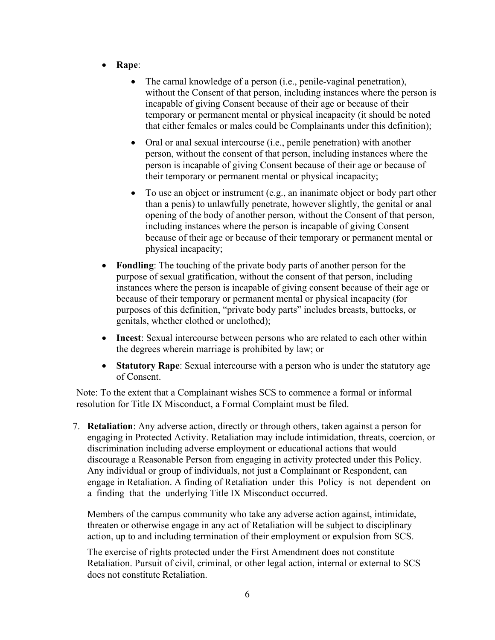- **Rape**:
	- The carnal knowledge of a person (i.e., penile-vaginal penetration), without the Consent of that person, including instances where the person is incapable of giving Consent because of their age or because of their temporary or permanent mental or physical incapacity (it should be noted that either females or males could be Complainants under this definition);
	- Oral or anal sexual intercourse (i.e., penile penetration) with another person, without the consent of that person, including instances where the person is incapable of giving Consent because of their age or because of their temporary or permanent mental or physical incapacity;
	- To use an object or instrument (e.g., an inanimate object or body part other than a penis) to unlawfully penetrate, however slightly, the genital or anal opening of the body of another person, without the Consent of that person, including instances where the person is incapable of giving Consent because of their age or because of their temporary or permanent mental or physical incapacity;
- **Fondling**: The touching of the private body parts of another person for the purpose of sexual gratification, without the consent of that person, including instances where the person is incapable of giving consent because of their age or because of their temporary or permanent mental or physical incapacity (for purposes of this definition, "private body parts" includes breasts, buttocks, or genitals, whether clothed or unclothed);
- **Incest**: Sexual intercourse between persons who are related to each other within the degrees wherein marriage is prohibited by law; or
- **Statutory Rape**: Sexual intercourse with a person who is under the statutory age of Consent.

Note: To the extent that a Complainant wishes SCS to commence a formal or informal resolution for Title IX Misconduct, a Formal Complaint must be filed.

7. **Retaliation**: Any adverse action, directly or through others, taken against a person for engaging in Protected Activity. Retaliation may include intimidation, threats, coercion, or discrimination including adverse employment or educational actions that would discourage a Reasonable Person from engaging in activity protected under this Policy. Any individual or group of individuals, not just a Complainant or Respondent, can engage in Retaliation. A finding of Retaliation under this Policy is not dependent on a finding that the underlying Title IX Misconduct occurred.

Members of the campus community who take any adverse action against, intimidate, threaten or otherwise engage in any act of Retaliation will be subject to disciplinary action, up to and including termination of their employment or expulsion from SCS.

The exercise of rights protected under the First Amendment does not constitute Retaliation. Pursuit of civil, criminal, or other legal action, internal or external to SCS does not constitute Retaliation.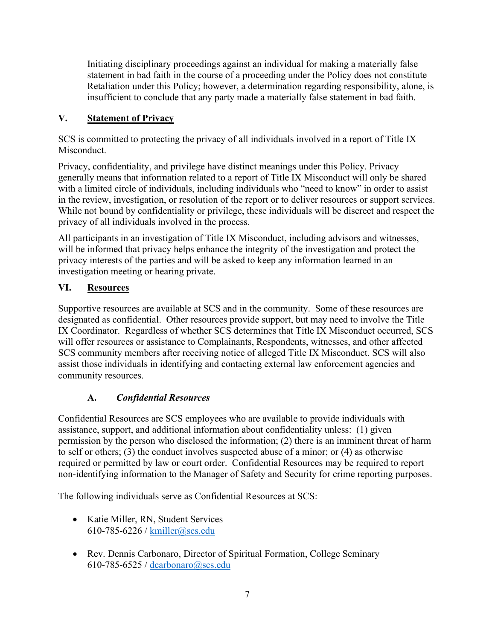Initiating disciplinary proceedings against an individual for making a materially false statement in bad faith in the course of a proceeding under the Policy does not constitute Retaliation under this Policy; however, a determination regarding responsibility, alone, is insufficient to conclude that any party made a materially false statement in bad faith.

# <span id="page-6-0"></span>**V. Statement of Privacy**

SCS is committed to protecting the privacy of all individuals involved in a report of Title IX Misconduct.

Privacy, confidentiality, and privilege have distinct meanings under this Policy. Privacy generally means that information related to a report of Title IX Misconduct will only be shared with a limited circle of individuals, including individuals who "need to know" in order to assist in the review, investigation, or resolution of the report or to deliver resources or support services. While not bound by confidentiality or privilege, these individuals will be discreet and respect the privacy of all individuals involved in the process.

All participants in an investigation of Title IX Misconduct, including advisors and witnesses, will be informed that privacy helps enhance the integrity of the investigation and protect the privacy interests of the parties and will be asked to keep any information learned in an investigation meeting or hearing private.

### <span id="page-6-1"></span>**VI. Resources**

Supportive resources are available at SCS and in the community. Some of these resources are designated as confidential. Other resources provide support, but may need to involve the Title IX Coordinator. Regardless of whether SCS determines that Title IX Misconduct occurred, SCS will offer resources or assistance to Complainants, Respondents, witnesses, and other affected SCS community members after receiving notice of alleged Title IX Misconduct. SCS will also assist those individuals in identifying and contacting external law enforcement agencies and community resources.

# **A.** *Confidential Resources*

<span id="page-6-2"></span>Confidential Resources are SCS employees who are available to provide individuals with assistance, support, and additional information about confidentiality unless: (1) given permission by the person who disclosed the information; (2) there is an imminent threat of harm to self or others; (3) the conduct involves suspected abuse of a minor; or (4) as otherwise required or permitted by law or court order. Confidential Resources may be required to report non-identifying information to the Manager of Safety and Security for crime reporting purposes.

The following individuals serve as Confidential Resources at SCS:

- Katie Miller, RN, Student Services 610-785-6226 / [kmiller@scs.edu](mailto:kmiller@scs.edu)
- Rev. Dennis Carbonaro, Director of Spiritual Formation, College Seminary 610-785-6525 / [dcarbonaro@scs.edu](mailto:dcarbonaro@scs.edu)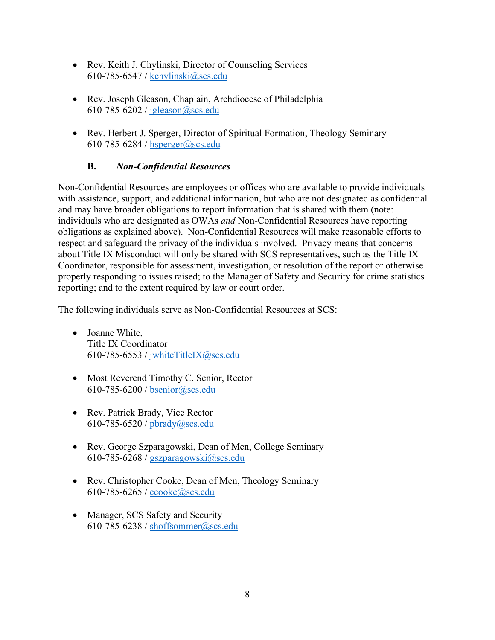- Rev. Keith J. Chylinski, Director of Counseling Services 610-785-6547 / [kchylinski@scs.edu](mailto:kchylinski@scs.edu)
- Rev. Joseph Gleason, Chaplain, Archdiocese of Philadelphia 610-785-6202 / [jgleason@scs.edu](mailto:jgleason@scs.edu)
- Rev. Herbert J. Sperger, Director of Spiritual Formation, Theology Seminary 610-785-6284 / [hsperger@scs.edu](mailto:hsperger@scs.edu)

# **B.** *Non-Confidential Resources*

<span id="page-7-0"></span>Non-Confidential Resources are employees or offices who are available to provide individuals with assistance, support, and additional information, but who are not designated as confidential and may have broader obligations to report information that is shared with them (note: individuals who are designated as OWAs *and* Non-Confidential Resources have reporting obligations as explained above). Non-Confidential Resources will make reasonable efforts to respect and safeguard the privacy of the individuals involved. Privacy means that concerns about Title IX Misconduct will only be shared with SCS representatives, such as the Title IX Coordinator, responsible for assessment, investigation, or resolution of the report or otherwise properly responding to issues raised; to the Manager of Safety and Security for crime statistics reporting; and to the extent required by law or court order.

The following individuals serve as Non-Confidential Resources at SCS:

- Joanne White, Title IX Coordinator 610-785-6553 / [jwhiteTitleIX@scs.edu](mailto:jwhiteTitleIX@scs.edu)
- Most Reverend Timothy C. Senior, Rector 610-785-6200 / [bsenior@scs.edu](mailto:bsenior@scs.edu)
- Rev. Patrick Brady, Vice Rector 610-785-6520 / [pbrady@scs.edu](mailto:pbrady@scs.edu)
- Rev. George Szparagowski, Dean of Men, College Seminary 610-785-6268 / [gszparagowski@scs.edu](mailto:gszparagowski@scs.edu)
- Rev. Christopher Cooke, Dean of Men, Theology Seminary 610-785-6265 / [ccooke@scs.edu](mailto:ccooke@scs.edu)
- Manager, SCS Safety and Security 610-785-6238 / [shoffsommer@scs.edu](mailto:shoffsommer@scs.edu)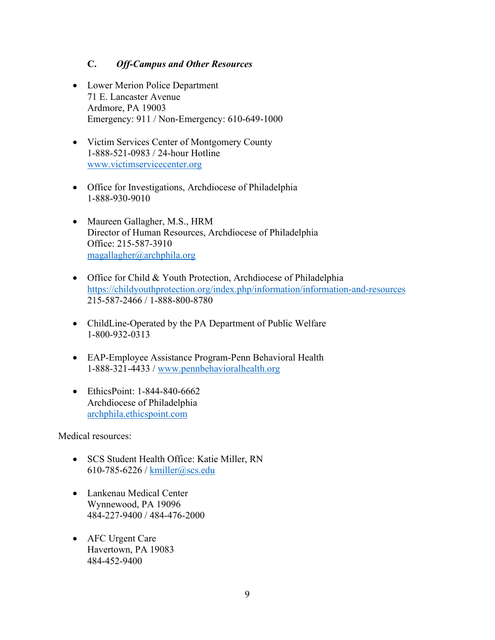#### **C.** *Off-Campus and Other Resources*

- <span id="page-8-0"></span>• Lower Merion Police Department 71 E. Lancaster Avenue Ardmore, PA 19003 Emergency: 911 / Non-Emergency: 610-649-1000
- Victim Services Center of Montgomery County 1-888-521-0983 / 24-hour Hotline [www.victimservicecenter.org](http://www.victimservicecenter.org/)
- Office for Investigations, Archdiocese of Philadelphia 1-888-930-9010
- Maureen Gallagher, M.S., HRM Director of Human Resources, Archdiocese of Philadelphia Office: 215-587-3910 [magallagher@archphila.org](mailto:magallagher@archphila.org)
- Office for Child & Youth Protection, Archdiocese of Philadelphia <https://childyouthprotection.org/index.php/information/information-and-resources> 215-587-2466 / 1-888-800-8780
- ChildLine-Operated by the PA Department of Public Welfare 1-800-932-0313
- EAP-Employee Assistance Program-Penn Behavioral Health 1-888-321-4433 / [www.pennbehavioralhealth.org](http://www.pennbehavioralhealth.org/)
- EthicsPoint: 1-844-840-6662 Archdiocese of Philadelphia [archphila.ethicspoint.com](http://www.archphila.ethicspoint.com/)

Medical resources:

- SCS Student Health Office: Katie Miller, RN 610-785-6226 / [kmiller@scs.edu](mailto:kmiller@scs.edu)
- Lankenau Medical Center Wynnewood, PA 19096 484-227-9400 / 484-476-2000
- AFC Urgent Care Havertown, PA 19083 484-452-9400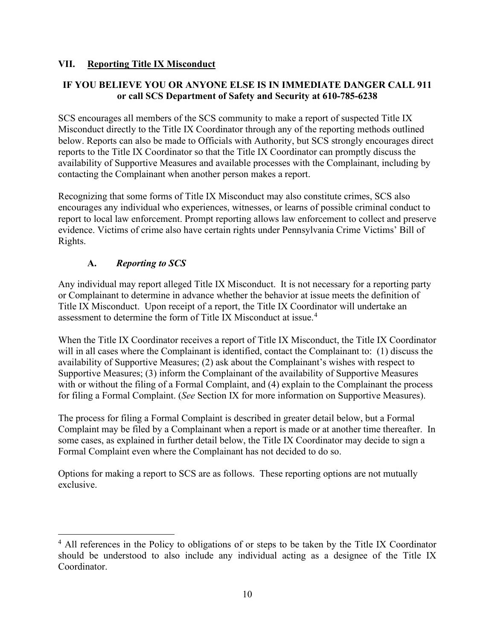#### <span id="page-9-0"></span>**VII. Reporting Title IX Misconduct**

# **IF YOU BELIEVE YOU OR ANYONE ELSE IS IN IMMEDIATE DANGER CALL 911 or call SCS Department of Safety and Security at 610-785-6238**

SCS encourages all members of the SCS community to make a report of suspected Title IX Misconduct directly to the Title IX Coordinator through any of the reporting methods outlined below. Reports can also be made to Officials with Authority, but SCS strongly encourages direct reports to the Title IX Coordinator so that the Title IX Coordinator can promptly discuss the availability of Supportive Measures and available processes with the Complainant, including by contacting the Complainant when another person makes a report.

Recognizing that some forms of Title IX Misconduct may also constitute crimes, SCS also encourages any individual who experiences, witnesses, or learns of possible criminal conduct to report to local law enforcement. Prompt reporting allows law enforcement to collect and preserve evidence. Victims of crime also have certain rights under Pennsylvania Crime Victims' Bill of Rights.

### **A.** *Reporting to SCS*

<span id="page-9-1"></span>Any individual may report alleged Title IX Misconduct. It is not necessary for a reporting party or Complainant to determine in advance whether the behavior at issue meets the definition of Title IX Misconduct. Upon receipt of a report, the Title IX Coordinator will undertake an assessment to determine the form of Title IX Misconduct at issue.[4](#page-9-2)

When the Title IX Coordinator receives a report of Title IX Misconduct, the Title IX Coordinator will in all cases where the Complainant is identified, contact the Complainant to: (1) discuss the availability of Supportive Measures; (2) ask about the Complainant's wishes with respect to Supportive Measures; (3) inform the Complainant of the availability of Supportive Measures with or without the filing of a Formal Complaint, and (4) explain to the Complainant the process for filing a Formal Complaint. (*See* Section IX for more information on Supportive Measures).

The process for filing a Formal Complaint is described in greater detail below, but a Formal Complaint may be filed by a Complainant when a report is made or at another time thereafter. In some cases, as explained in further detail below, the Title IX Coordinator may decide to sign a Formal Complaint even where the Complainant has not decided to do so.

Options for making a report to SCS are as follows. These reporting options are not mutually exclusive.

<span id="page-9-2"></span><sup>&</sup>lt;sup>4</sup> All references in the Policy to obligations of or steps to be taken by the Title IX Coordinator should be understood to also include any individual acting as a designee of the Title IX Coordinator.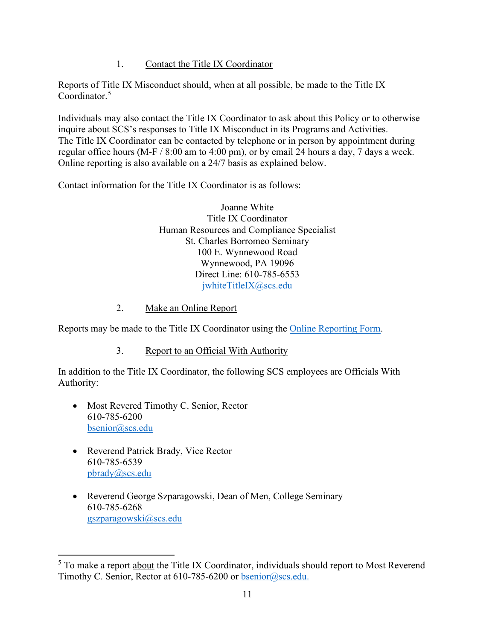#### 1. Contact the Title IX Coordinator

<span id="page-10-0"></span>Reports of Title IX Misconduct should, when at all possible, be made to the Title IX Coordinator.<sup>[5](#page-10-3)</sup>

Individuals may also contact the Title IX Coordinator to ask about this Policy or to otherwise inquire about SCS's responses to Title IX Misconduct in its Programs and Activities. The Title IX Coordinator can be contacted by telephone or in person by appointment during regular office hours (M-F / 8:00 am to 4:00 pm), or by email 24 hours a day, 7 days a week. Online reporting is also available on a 24/7 basis as explained below.

Contact information for the Title IX Coordinator is as follows:

Joanne White Title IX Coordinator Human Resources and Compliance Specialist St. Charles Borromeo Seminary 100 E. Wynnewood Road Wynnewood, PA 19096 Direct Line: 610-785-6553 [jwhiteTitleIX@scs.edu](mailto:jwhiteTitleIX@scs.edu)

#### 2. Make an Online Report

<span id="page-10-1"></span>Reports may be made to the Title IX Coordinator using the [Online Reporting Form.](https://docs.google.com/forms/d/1eVpxUG8y1XeIZYy04Q4pwYT_VoNaGbiZWMWIgreYdwM/viewform?edit_requested=true)

3. Report to an Official With Authority

<span id="page-10-2"></span>In addition to the Title IX Coordinator, the following SCS employees are Officials With Authority:

- Most Revered Timothy C. Senior, Rector 610-785-6200 [bsenior@scs.edu](mailto:bsenior@scs.edu)
- Reverend Patrick Brady, Vice Rector 610-785-6539 [pbrady@scs.edu](mailto:pbrady@scs.edu)
- Reverend George Szparagowski, Dean of Men, College Seminary 610-785-6268 [gszparagowski@scs.edu](mailto:gszparagowski@scs.edu)

<span id="page-10-3"></span><sup>&</sup>lt;sup>5</sup> To make a report about the Title IX Coordinator, individuals should report to Most Reverend Timothy C. Senior, Rector at 610-785-6200 or [bsenior@scs.edu.](mailto:bsenior@scs.edu)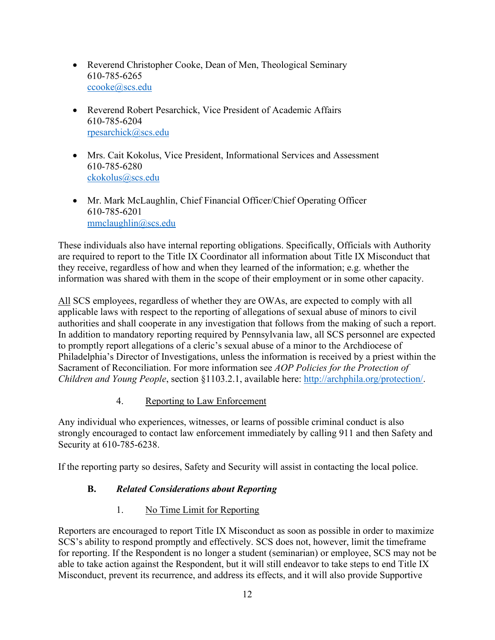- Reverend Christopher Cooke, Dean of Men, Theological Seminary 610-785-6265 [ccooke@scs.edu](mailto:ccooke@scs.edu)
- Reverend Robert Pesarchick, Vice President of Academic Affairs 610-785-6204 [rpesarchick@scs.edu](mailto:rpesarchick@scs.edu)
- Mrs. Cait Kokolus, Vice President, Informational Services and Assessment 610-785-6280 [ckokolus@scs.edu](mailto:ckokolus@scs.edu)
- Mr. Mark McLaughlin, Chief Financial Officer/Chief Operating Officer 610-785-6201 [mmclaughlin@scs.edu](mailto:mmclaughlin@scs.edu)

These individuals also have internal reporting obligations. Specifically, Officials with Authority are required to report to the Title IX Coordinator all information about Title IX Misconduct that they receive, regardless of how and when they learned of the information; e.g. whether the information was shared with them in the scope of their employment or in some other capacity.

All SCS employees, regardless of whether they are OWAs, are expected to comply with all applicable laws with respect to the reporting of allegations of sexual abuse of minors to civil authorities and shall cooperate in any investigation that follows from the making of such a report. In addition to mandatory reporting required by Pennsylvania law, all SCS personnel are expected to promptly report allegations of a cleric's sexual abuse of a minor to the Archdiocese of Philadelphia's Director of Investigations, unless the information is received by a priest within the Sacrament of Reconciliation. For more information see *AOP Policies for the Protection of Children and Young People*, section §1103.2.1, available here: [http://archphila.org/protection/.](http://archphila.org/protection/)

# 4. Reporting to Law Enforcement

<span id="page-11-0"></span>Any individual who experiences, witnesses, or learns of possible criminal conduct is also strongly encouraged to contact law enforcement immediately by calling 911 and then Safety and Security at 610-785-6238.

<span id="page-11-1"></span>If the reporting party so desires, Safety and Security will assist in contacting the local police.

# **B.** *Related Considerations about Reporting*

# 1. No Time Limit for Reporting

<span id="page-11-2"></span>Reporters are encouraged to report Title IX Misconduct as soon as possible in order to maximize SCS's ability to respond promptly and effectively. SCS does not, however, limit the timeframe for reporting. If the Respondent is no longer a student (seminarian) or employee, SCS may not be able to take action against the Respondent, but it will still endeavor to take steps to end Title IX Misconduct, prevent its recurrence, and address its effects, and it will also provide Supportive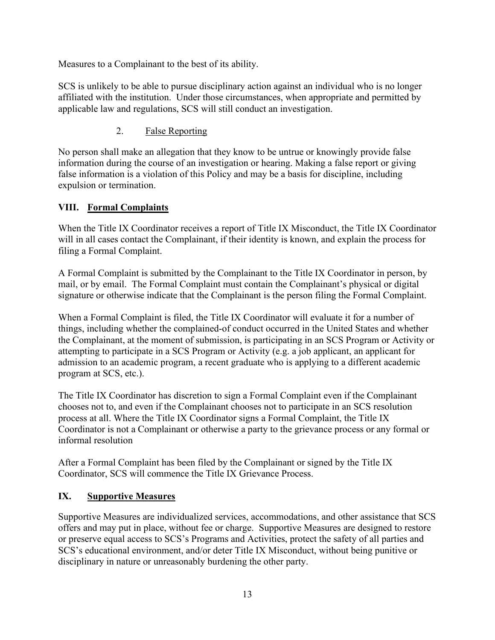Measures to a Complainant to the best of its ability.

SCS is unlikely to be able to pursue disciplinary action against an individual who is no longer affiliated with the institution. Under those circumstances, when appropriate and permitted by applicable law and regulations, SCS will still conduct an investigation.

# 2. False Reporting

<span id="page-12-0"></span>No person shall make an allegation that they know to be untrue or knowingly provide false information during the course of an investigation or hearing. Making a false report or giving false information is a violation of this Policy and may be a basis for discipline, including expulsion or termination.

# <span id="page-12-1"></span>**VIII. Formal Complaints**

When the Title IX Coordinator receives a report of Title IX Misconduct, the Title IX Coordinator will in all cases contact the Complainant, if their identity is known, and explain the process for filing a Formal Complaint.

A Formal Complaint is submitted by the Complainant to the Title IX Coordinator in person, by mail, or by email. The Formal Complaint must contain the Complainant's physical or digital signature or otherwise indicate that the Complainant is the person filing the Formal Complaint.

When a Formal Complaint is filed, the Title IX Coordinator will evaluate it for a number of things, including whether the complained-of conduct occurred in the United States and whether the Complainant, at the moment of submission, is participating in an SCS Program or Activity or attempting to participate in a SCS Program or Activity (e.g. a job applicant, an applicant for admission to an academic program, a recent graduate who is applying to a different academic program at SCS, etc.).

The Title IX Coordinator has discretion to sign a Formal Complaint even if the Complainant chooses not to, and even if the Complainant chooses not to participate in an SCS resolution process at all. Where the Title IX Coordinator signs a Formal Complaint, the Title IX Coordinator is not a Complainant or otherwise a party to the grievance process or any formal or informal resolution

After a Formal Complaint has been filed by the Complainant or signed by the Title IX Coordinator, SCS will commence the Title IX Grievance Process.

# <span id="page-12-2"></span>**IX. Supportive Measures**

Supportive Measures are individualized services, accommodations, and other assistance that SCS offers and may put in place, without fee or charge. Supportive Measures are designed to restore or preserve equal access to SCS's Programs and Activities, protect the safety of all parties and SCS's educational environment, and/or deter Title IX Misconduct, without being punitive or disciplinary in nature or unreasonably burdening the other party.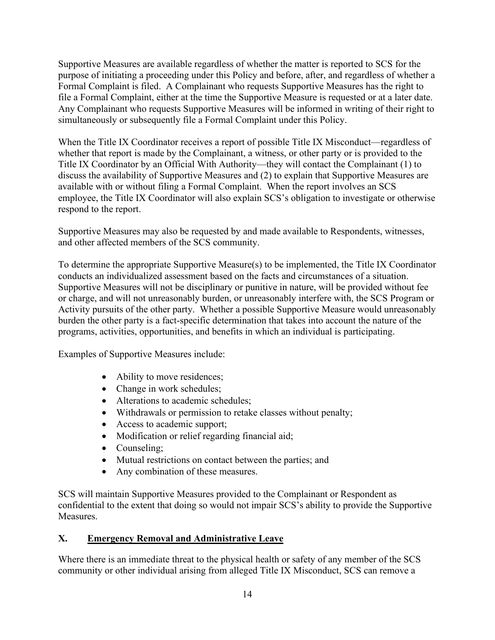Supportive Measures are available regardless of whether the matter is reported to SCS for the purpose of initiating a proceeding under this Policy and before, after, and regardless of whether a Formal Complaint is filed. A Complainant who requests Supportive Measures has the right to file a Formal Complaint, either at the time the Supportive Measure is requested or at a later date. Any Complainant who requests Supportive Measures will be informed in writing of their right to simultaneously or subsequently file a Formal Complaint under this Policy.

When the Title IX Coordinator receives a report of possible Title IX Misconduct—regardless of whether that report is made by the Complainant, a witness, or other party or is provided to the Title IX Coordinator by an Official With Authority—they will contact the Complainant (1) to discuss the availability of Supportive Measures and (2) to explain that Supportive Measures are available with or without filing a Formal Complaint. When the report involves an SCS employee, the Title IX Coordinator will also explain SCS's obligation to investigate or otherwise respond to the report.

Supportive Measures may also be requested by and made available to Respondents, witnesses, and other affected members of the SCS community.

To determine the appropriate Supportive Measure(s) to be implemented, the Title IX Coordinator conducts an individualized assessment based on the facts and circumstances of a situation. Supportive Measures will not be disciplinary or punitive in nature, will be provided without fee or charge, and will not unreasonably burden, or unreasonably interfere with, the SCS Program or Activity pursuits of the other party. Whether a possible Supportive Measure would unreasonably burden the other party is a fact-specific determination that takes into account the nature of the programs, activities, opportunities, and benefits in which an individual is participating.

Examples of Supportive Measures include:

- Ability to move residences;
- Change in work schedules;
- Alterations to academic schedules;
- Withdrawals or permission to retake classes without penalty;
- Access to academic support;
- Modification or relief regarding financial aid;
- Counseling;
- Mutual restrictions on contact between the parties; and
- Any combination of these measures.

SCS will maintain Supportive Measures provided to the Complainant or Respondent as confidential to the extent that doing so would not impair SCS's ability to provide the Supportive Measures.

# <span id="page-13-0"></span>**X. Emergency Removal and Administrative Leave**

Where there is an immediate threat to the physical health or safety of any member of the SCS community or other individual arising from alleged Title IX Misconduct, SCS can remove a